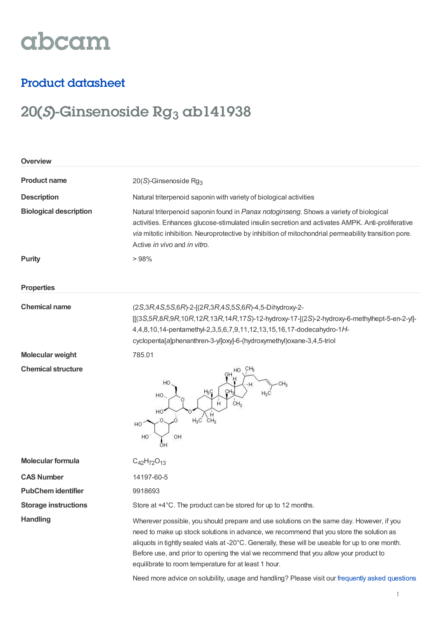# abcam

### Product datasheet

## 20(S)-Ginsenoside Rg<sub>3</sub> ab141938

| Overview                      |                                                                                                                                                                                                                                                                                                                                                                                                                                                                                                                                             |
|-------------------------------|---------------------------------------------------------------------------------------------------------------------------------------------------------------------------------------------------------------------------------------------------------------------------------------------------------------------------------------------------------------------------------------------------------------------------------------------------------------------------------------------------------------------------------------------|
| <b>Product name</b>           | 20(S)-Ginsenoside Rg <sub>3</sub>                                                                                                                                                                                                                                                                                                                                                                                                                                                                                                           |
| <b>Description</b>            | Natural triterpenoid saponin with variety of biological activities                                                                                                                                                                                                                                                                                                                                                                                                                                                                          |
| <b>Biological description</b> | Natural triterpenoid saponin found in Panax notoginseng. Shows a variety of biological<br>activities. Enhances glucose-stimulated insulin secretion and activates AMPK. Anti-proliferative<br>via mitotic inhibition. Neuroprotective by inhibition of mitochondrial permeability transition pore.<br>Active in vivo and in vitro.                                                                                                                                                                                                          |
| <b>Purity</b>                 | >98%                                                                                                                                                                                                                                                                                                                                                                                                                                                                                                                                        |
| <b>Properties</b>             |                                                                                                                                                                                                                                                                                                                                                                                                                                                                                                                                             |
| <b>Chemical name</b>          | (2S, 3R, 4S, 5S, 6R)-2-[(2R, 3R, 4S, 5S, 6R)-4, 5-Dihydroxy-2-<br>$[[(3S,5R,8R,9R,10R,12R,13R,14R,17S)-12-hydroxy-17-[(2S)-2-hydroxy-6-methylhept-5-en-2-yl]-$<br>4,4,8,10,14-pentamethyl-2,3,5,6,7,9,11,12,13,15,16,17-dodecahydro-1H-<br>cyclopenta[a]phenanthren-3-yl]oxy]-6-(hydroxymethyl)oxane-3,4,5-triol                                                                                                                                                                                                                            |
| <b>Molecular weight</b>       | 785.01                                                                                                                                                                                                                                                                                                                                                                                                                                                                                                                                      |
| <b>Chemical structure</b>     | HO<br>H}Ç<br>CH.<br>HO.<br>CH <sub>3</sub><br>Н<br>HO<br>$\sum_{\text{CH}_3}$<br>$H_3C$<br>HO<br>.OH<br>HO                                                                                                                                                                                                                                                                                                                                                                                                                                  |
| <b>Molecular formula</b>      | $C_{42}H_{72}O_{13}$                                                                                                                                                                                                                                                                                                                                                                                                                                                                                                                        |
| <b>CAS Number</b>             | 14197-60-5                                                                                                                                                                                                                                                                                                                                                                                                                                                                                                                                  |
| <b>PubChem identifier</b>     | 9918693                                                                                                                                                                                                                                                                                                                                                                                                                                                                                                                                     |
| <b>Storage instructions</b>   | Store at +4°C. The product can be stored for up to 12 months.                                                                                                                                                                                                                                                                                                                                                                                                                                                                               |
| <b>Handling</b>               | Wherever possible, you should prepare and use solutions on the same day. However, if you<br>need to make up stock solutions in advance, we recommend that you store the solution as<br>aliquots in tightly sealed vials at -20°C. Generally, these will be useable for up to one month.<br>Before use, and prior to opening the vial we recommend that you allow your product to<br>equilibrate to room temperature for at least 1 hour.<br>Need more advice on solubility, usage and handling? Please visit our frequently asked questions |
|                               |                                                                                                                                                                                                                                                                                                                                                                                                                                                                                                                                             |